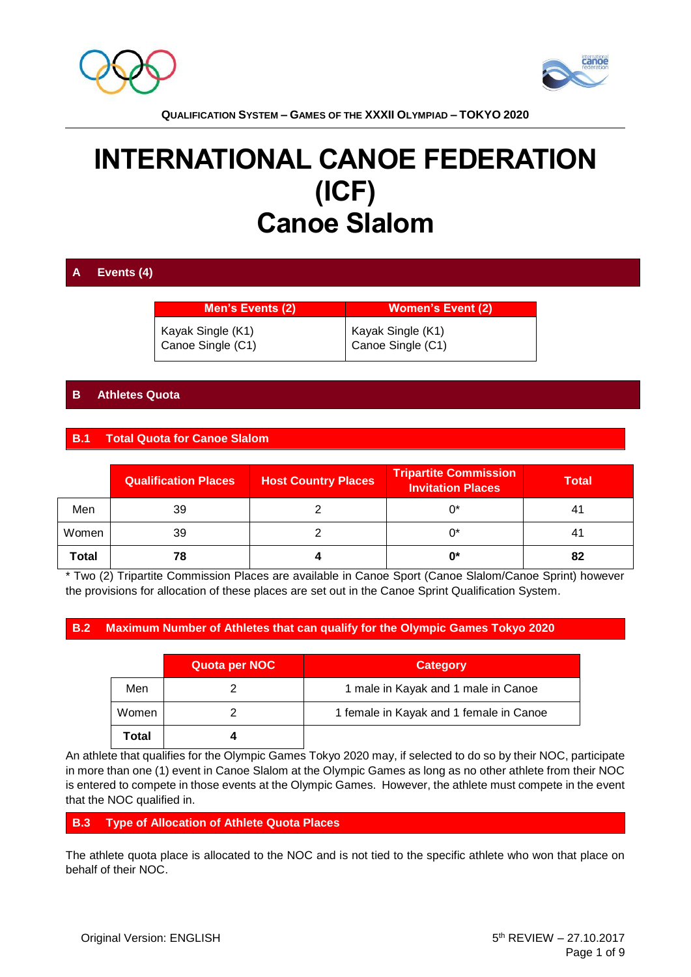



# **INTERNATIONAL CANOE FEDERATION (ICF) Canoe Slalom**

## **A Events (4)**

**Men's Events (2) Women's Event (2)** Kayak Single (K1) Canoe Single (C1) Kayak Single (K1) Canoe Single (C1)

## **B Athletes Quota**

## **B.1 Total Quota for Canoe Slalom**

|              | <b>Qualification Places</b> | <b>Host Country Places</b> | <b>Tripartite Commission</b><br><b>Invitation Places</b> | <b>Total</b> |  |
|--------------|-----------------------------|----------------------------|----------------------------------------------------------|--------------|--|
| Men          | 39                          |                            | ሰ*                                                       |              |  |
| Women        | 39                          |                            | ባ*                                                       |              |  |
| <b>Total</b> | 78                          |                            | 0*                                                       | 82           |  |

\* Two (2) Tripartite Commission Places are available in Canoe Sport (Canoe Slalom/Canoe Sprint) however the provisions for allocation of these places are set out in the Canoe Sprint Qualification System.

#### **B.2 Maximum Number of Athletes that can qualify for the Olympic Games Tokyo 2020**

|       | Quota per NOC | <b>Category</b>                         |
|-------|---------------|-----------------------------------------|
| Men   |               | 1 male in Kayak and 1 male in Canoe     |
| Women |               | 1 female in Kayak and 1 female in Canoe |
| Total |               |                                         |

An athlete that qualifies for the Olympic Games Tokyo 2020 may, if selected to do so by their NOC, participate in more than one (1) event in Canoe Slalom at the Olympic Games as long as no other athlete from their NOC is entered to compete in those events at the Olympic Games. However, the athlete must compete in the event that the NOC qualified in.

#### **B.3 Type of Allocation of Athlete Quota Places**

The athlete quota place is allocated to the NOC and is not tied to the specific athlete who won that place on behalf of their NOC.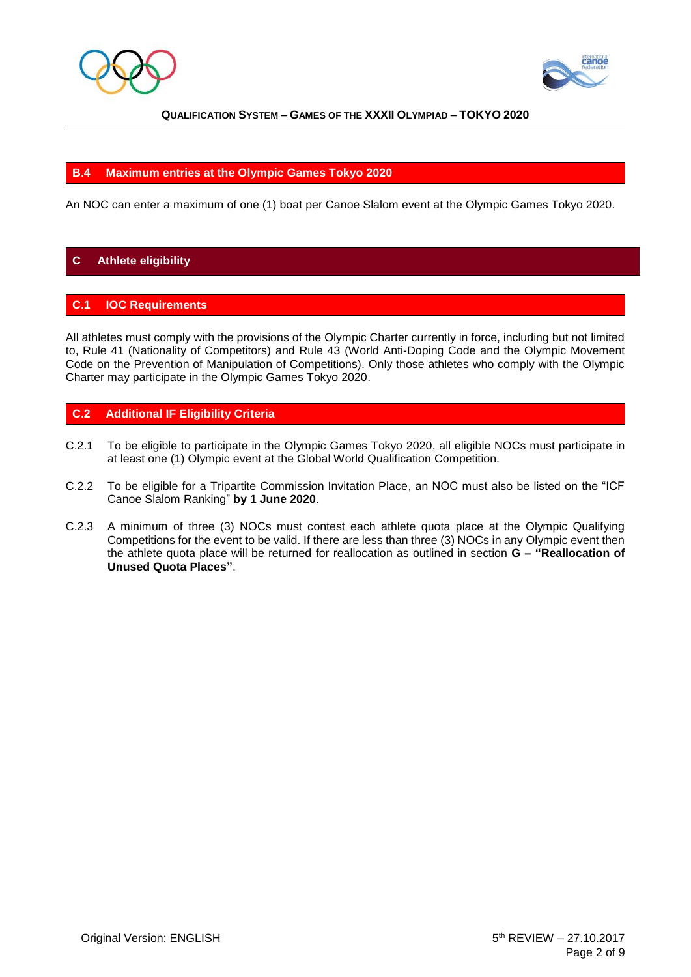



### **B.4 Maximum entries at the Olympic Games Tokyo 2020**

An NOC can enter a maximum of one (1) boat per Canoe Slalom event at the Olympic Games Tokyo 2020.

## **C Athlete eligibility**

#### **C.1 IOC Requirements**

All athletes must comply with the provisions of the Olympic Charter currently in force, including but not limited to, Rule 41 (Nationality of Competitors) and Rule 43 (World Anti-Doping Code and the Olympic Movement Code on the Prevention of Manipulation of Competitions). Only those athletes who comply with the Olympic Charter may participate in the Olympic Games Tokyo 2020.

#### **C.2 Additional IF Eligibility Criteria**

- C.2.1 To be eligible to participate in the Olympic Games Tokyo 2020, all eligible NOCs must participate in at least one (1) Olympic event at the Global World Qualification Competition.
- C.2.2 To be eligible for a Tripartite Commission Invitation Place, an NOC must also be listed on the "ICF Canoe Slalom Ranking" **by 1 June 2020**.
- C.2.3 A minimum of three (3) NOCs must contest each athlete quota place at the Olympic Qualifying Competitions for the event to be valid. If there are less than three (3) NOCs in any Olympic event then the athlete quota place will be returned for reallocation as outlined in section **G – "Reallocation of Unused Quota Places"**.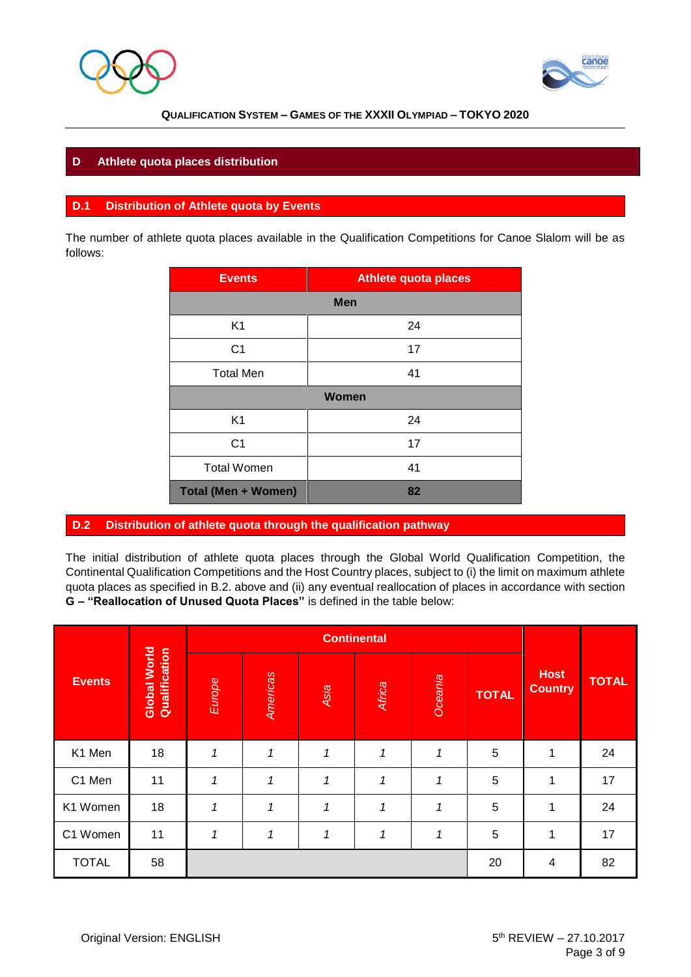



## **D Athlete quota places distribution**

#### **D.1 Distribution of Athlete quota by Events**

The number of athlete quota places available in the Qualification Competitions for Canoe Slalom will be as follows:

| <b>Events</b>              | <b>Athlete quota places</b> |  |  |  |
|----------------------------|-----------------------------|--|--|--|
| <b>Men</b>                 |                             |  |  |  |
| K <sub>1</sub>             | 24                          |  |  |  |
| C <sub>1</sub>             | 17                          |  |  |  |
| <b>Total Men</b>           | 41                          |  |  |  |
| <b>Women</b>               |                             |  |  |  |
| K <sub>1</sub>             | 24                          |  |  |  |
| C <sub>1</sub>             | 17                          |  |  |  |
| <b>Total Women</b>         | 41                          |  |  |  |
| <b>Total (Men + Women)</b> | 82                          |  |  |  |

#### **D.2 Distribution of athlete quota through the qualification pathway**

The initial distribution of athlete quota places through the Global World Qualification Competition, the Continental Qualification Competitions and the Host Country places, subject to (i) the limit on maximum athlete quota places as specified in B.2. above and (ii) any eventual reallocation of places in accordance with section **G – "Reallocation of Unused Quota Places"** is defined in the table below:

|               |                               | <b>Continental</b> |          |      |        |         |              |                               |              |
|---------------|-------------------------------|--------------------|----------|------|--------|---------|--------------|-------------------------------|--------------|
| <b>Events</b> | Global World<br>Qualification | Europe             | Americas | Asia | Africa | Oceania | <b>TOTAL</b> | <b>Host</b><br><b>Country</b> | <b>TOTAL</b> |
| K1 Men        | 18                            | $\mathbf{1}$       | 1        | 1    | 1      | 1       | 5            | 1                             | 24           |
| C1 Men        | 11                            | 1                  | 1        | 1    | 1      | 1       | 5            | 1                             | 17           |
| K1 Women      | 18                            | 1                  | 1        | 1    | 1      | 1       | 5            | 1                             | 24           |
| C1 Women      | 11                            | 1                  | 1        | 1    | 1      |         | 5            | 1                             | 17           |
| <b>TOTAL</b>  | 58                            |                    |          |      |        |         | 20           | 4                             | 82           |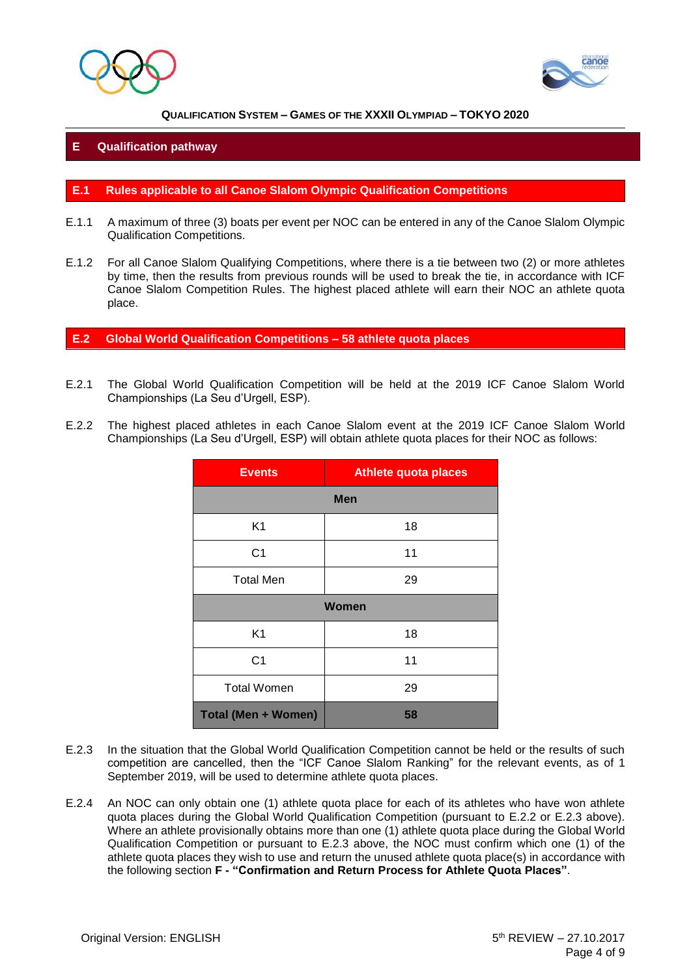



#### **E Qualification pathway**

#### **E.1 Rules applicable to all Canoe Slalom Olympic Qualification Competitions**

- E.1.1 A maximum of three (3) boats per event per NOC can be entered in any of the Canoe Slalom Olympic Qualification Competitions.
- E.1.2 For all Canoe Slalom Qualifying Competitions, where there is a tie between two (2) or more athletes by time, then the results from previous rounds will be used to break the tie, in accordance with ICF Canoe Slalom Competition Rules. The highest placed athlete will earn their NOC an athlete quota place.

**E.2 Global World Qualification Competitions – 58 athlete quota places**

- E.2.1 The Global World Qualification Competition will be held at the 2019 ICF Canoe Slalom World Championships (La Seu d'Urgell, ESP).
- E.2.2 The highest placed athletes in each Canoe Slalom event at the 2019 ICF Canoe Slalom World Championships (La Seu d'Urgell, ESP) will obtain athlete quota places for their NOC as follows:

| <b>Events</b>              | <b>Athlete quota places</b> |  |  |  |
|----------------------------|-----------------------------|--|--|--|
| <b>Men</b>                 |                             |  |  |  |
| K <sub>1</sub>             | 18                          |  |  |  |
| C <sub>1</sub>             | 11                          |  |  |  |
| <b>Total Men</b>           | 29                          |  |  |  |
| Women                      |                             |  |  |  |
| K1                         | 18                          |  |  |  |
| C <sub>1</sub>             | 11                          |  |  |  |
| <b>Total Women</b>         | 29                          |  |  |  |
| <b>Total (Men + Women)</b> | 58                          |  |  |  |

- E.2.3 In the situation that the Global World Qualification Competition cannot be held or the results of such competition are cancelled, then the "ICF Canoe Slalom Ranking" for the relevant events, as of 1 September 2019, will be used to determine athlete quota places.
- E.2.4 An NOC can only obtain one (1) athlete quota place for each of its athletes who have won athlete quota places during the Global World Qualification Competition (pursuant to E.2.2 or E.2.3 above). Where an athlete provisionally obtains more than one (1) athlete quota place during the Global World Qualification Competition or pursuant to E.2.3 above, the NOC must confirm which one (1) of the athlete quota places they wish to use and return the unused athlete quota place(s) in accordance with the following section **F - "Confirmation and Return Process for Athlete Quota Places"**.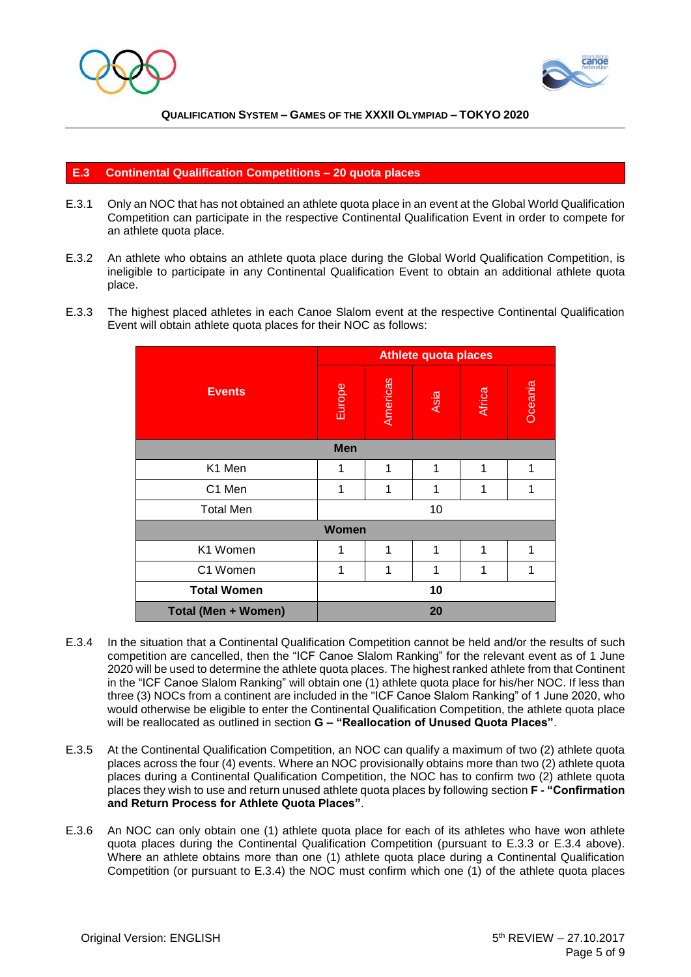



#### **E.3 Continental Qualification Competitions – 20 quota places**

- E.3.1 Only an NOC that has not obtained an athlete quota place in an event at the Global World Qualification Competition can participate in the respective Continental Qualification Event in order to compete for an athlete quota place.
- E.3.2 An athlete who obtains an athlete quota place during the Global World Qualification Competition, is ineligible to participate in any Continental Qualification Event to obtain an additional athlete quota place.
- E.3.3 The highest placed athletes in each Canoe Slalom event at the respective Continental Qualification Event will obtain athlete quota places for their NOC as follows:

|                     | <b>Athlete quota places</b> |          |      |        |         |  |
|---------------------|-----------------------------|----------|------|--------|---------|--|
| <b>Events</b>       | Europe                      | Americas | Asia | Africa | Oceania |  |
|                     | <b>Men</b>                  |          |      |        |         |  |
| K1 Men              | 1                           | 1        | 1    | 1      | 1       |  |
| C1 Men              | 1                           | 1        | 1    | 1      | 1       |  |
| <b>Total Men</b>    |                             |          | 10   |        |         |  |
| <b>Women</b>        |                             |          |      |        |         |  |
| K1 Women            | 1                           | 1        | 1    | 1      | 1       |  |
| C1 Women            | 1                           | 1        | 1    | 1      | 1       |  |
| <b>Total Women</b>  |                             |          | 10   |        |         |  |
| Total (Men + Women) |                             |          | 20   |        |         |  |

- E.3.4 In the situation that a Continental Qualification Competition cannot be held and/or the results of such competition are cancelled, then the "ICF Canoe Slalom Ranking" for the relevant event as of 1 June 2020 will be used to determine the athlete quota places. The highest ranked athlete from that Continent in the "ICF Canoe Slalom Ranking" will obtain one (1) athlete quota place for his/her NOC. If less than three (3) NOCs from a continent are included in the "ICF Canoe Slalom Ranking" of 1 June 2020, who would otherwise be eligible to enter the Continental Qualification Competition, the athlete quota place will be reallocated as outlined in section **G – "Reallocation of Unused Quota Places"**.
- E.3.5 At the Continental Qualification Competition, an NOC can qualify a maximum of two (2) athlete quota places across the four (4) events. Where an NOC provisionally obtains more than two (2) athlete quota places during a Continental Qualification Competition, the NOC has to confirm two (2) athlete quota places they wish to use and return unused athlete quota places by following section **F - "Confirmation and Return Process for Athlete Quota Places"**.
- E.3.6 An NOC can only obtain one (1) athlete quota place for each of its athletes who have won athlete quota places during the Continental Qualification Competition (pursuant to E.3.3 or E.3.4 above). Where an athlete obtains more than one (1) athlete quota place during a Continental Qualification Competition (or pursuant to  $E.3.4$ ) the NOC must confirm which one (1) of the athlete quota places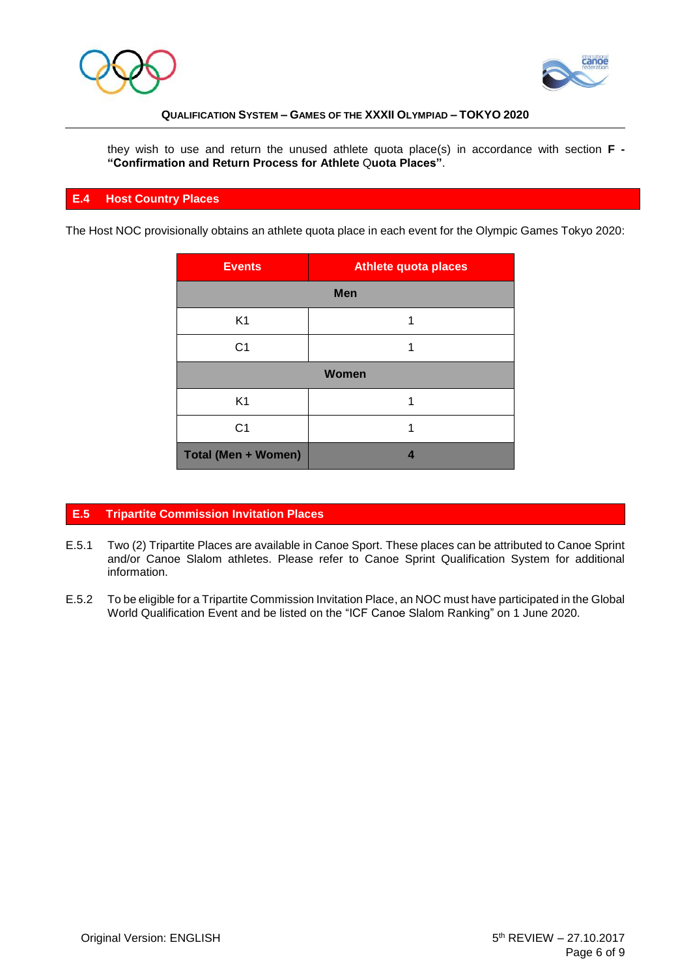



they wish to use and return the unused athlete quota place(s) in accordance with section **F - "Confirmation and Return Process for Athlete** Q**uota Places"**.

#### **E.4 Host Country Places**

The Host NOC provisionally obtains an athlete quota place in each event for the Olympic Games Tokyo 2020:

| <b>Events</b>              | <b>Athlete quota places</b> |  |  |  |
|----------------------------|-----------------------------|--|--|--|
| <b>Men</b>                 |                             |  |  |  |
| K <sub>1</sub>             |                             |  |  |  |
| C <sub>1</sub>             |                             |  |  |  |
| <b>Women</b>               |                             |  |  |  |
| K <sub>1</sub>             |                             |  |  |  |
| C <sub>1</sub>             |                             |  |  |  |
| <b>Total (Men + Women)</b> |                             |  |  |  |

## **E.5 Tripartite Commission Invitation Places**

- E.5.1 Two (2) Tripartite Places are available in Canoe Sport. These places can be attributed to Canoe Sprint and/or Canoe Slalom athletes. Please refer to Canoe Sprint Qualification System for additional information.
- E.5.2 To be eligible for a Tripartite Commission Invitation Place, an NOC must have participated in the Global World Qualification Event and be listed on the "ICF Canoe Slalom Ranking" on 1 June 2020.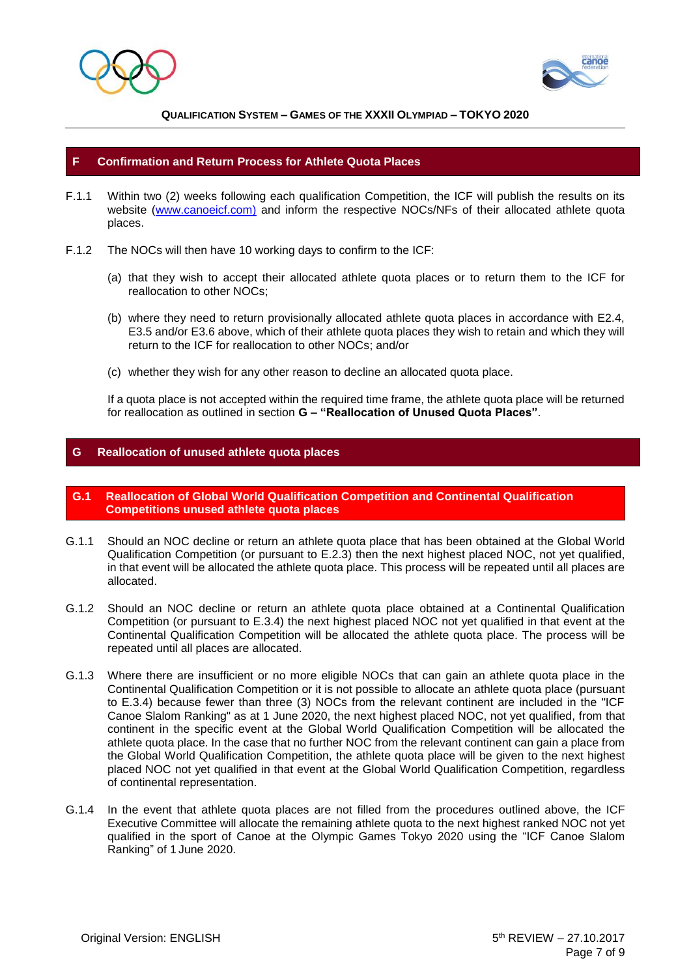



#### **F Confirmation and Return Process for Athlete Quota Places**

- F.1.1 Within two (2) weeks following each qualification Competition, the ICF will publish the results on its website [\(www.canoeicf.com\)](http://www.canoeicf.com/) and inform the respective NOCs/NFs of their allocated athlete quota places.
- F.1.2 The NOCs will then have 10 working days to confirm to the ICF:
	- (a) that they wish to accept their allocated athlete quota places or to return them to the ICF for reallocation to other NOCs;
	- (b) where they need to return provisionally allocated athlete quota places in accordance with E2.4, E3.5 and/or E3.6 above, which of their athlete quota places they wish to retain and which they will return to the ICF for reallocation to other NOCs; and/or
	- (c) whether they wish for any other reason to decline an allocated quota place.

If a quota place is not accepted within the required time frame, the athlete quota place will be returned for reallocation as outlined in section **G – "Reallocation of Unused Quota Places"**.

#### **G Reallocation of unused athlete quota places**

- **G.1 Reallocation of Global World Qualification Competition and Continental Qualification Competitions unused athlete quota places**
- G.1.1 Should an NOC decline or return an athlete quota place that has been obtained at the Global World Qualification Competition (or pursuant to E.2.3) then the next highest placed NOC, not yet qualified, in that event will be allocated the athlete quota place. This process will be repeated until all places are allocated.
- G.1.2 Should an NOC decline or return an athlete quota place obtained at a Continental Qualification Competition (or pursuant to E.3.4) the next highest placed NOC not yet qualified in that event at the Continental Qualification Competition will be allocated the athlete quota place. The process will be repeated until all places are allocated.
- G.1.3 Where there are insufficient or no more eligible NOCs that can gain an athlete quota place in the Continental Qualification Competition or it is not possible to allocate an athlete quota place (pursuant to E.3.4) because fewer than three (3) NOCs from the relevant continent are included in the "ICF Canoe Slalom Ranking" as at 1 June 2020, the next highest placed NOC, not yet qualified, from that continent in the specific event at the Global World Qualification Competition will be allocated the athlete quota place. In the case that no further NOC from the relevant continent can gain a place from the Global World Qualification Competition, the athlete quota place will be given to the next highest placed NOC not yet qualified in that event at the Global World Qualification Competition, regardless of continental representation.
- G.1.4 In the event that athlete quota places are not filled from the procedures outlined above, the ICF Executive Committee will allocate the remaining athlete quota to the next highest ranked NOC not yet qualified in the sport of Canoe at the Olympic Games Tokyo 2020 using the "ICF Canoe Slalom Ranking" of 1 June 2020.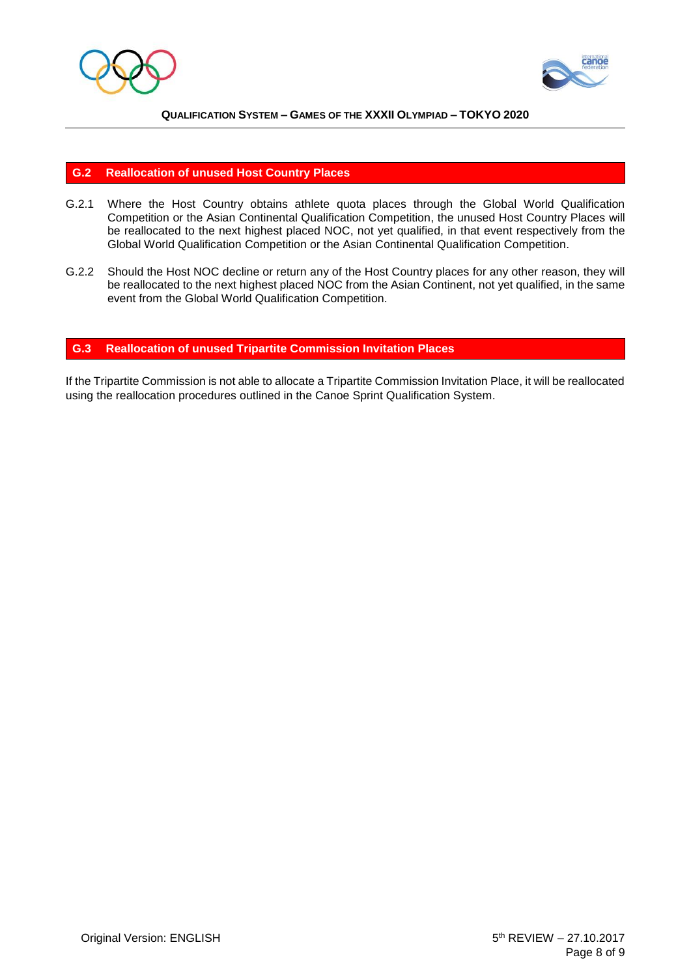



#### **G.2 Reallocation of unused Host Country Places**

- G.2.1 Where the Host Country obtains athlete quota places through the Global World Qualification Competition or the Asian Continental Qualification Competition, the unused Host Country Places will be reallocated to the next highest placed NOC, not yet qualified, in that event respectively from the Global World Qualification Competition or the Asian Continental Qualification Competition.
- G.2.2 Should the Host NOC decline or return any of the Host Country places for any other reason, they will be reallocated to the next highest placed NOC from the Asian Continent, not yet qualified, in the same event from the Global World Qualification Competition.

#### **G.3 Reallocation of unused Tripartite Commission Invitation Places**

If the Tripartite Commission is not able to allocate a Tripartite Commission Invitation Place, it will be reallocated using the reallocation procedures outlined in the Canoe Sprint Qualification System.